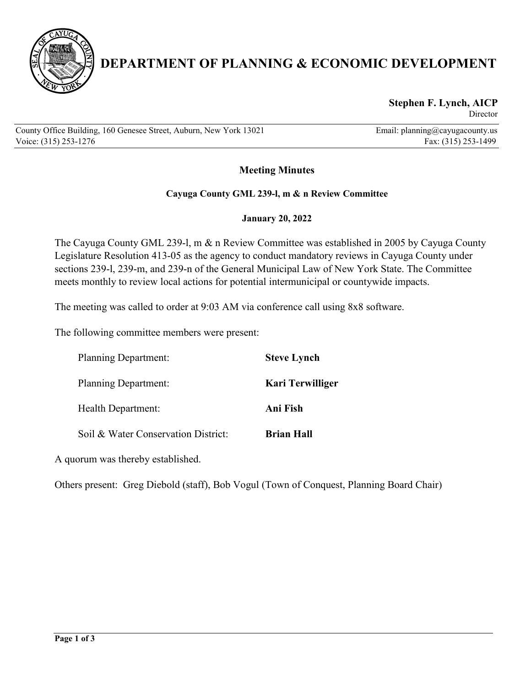

# **DEPARTMENT OF PLANNING & ECONOMIC DEVELOPMENT**

#### **Stephen F. Lynch, AICP** Director

County Office Building, 160 Genesee Street, Auburn, New York 13021 Email: planning@cayugacounty.us Voice: (315) 253-1276 Fax: (315) 253-1499

# **Meeting Minutes**

#### **Cayuga County GML 239-l, m & n Review Committee**

#### **January 20, 2022**

The Cayuga County GML 239-l, m & n Review Committee was established in 2005 by Cayuga County Legislature Resolution 413-05 as the agency to conduct mandatory reviews in Cayuga County under sections 239-l, 239-m, and 239-n of the General Municipal Law of New York State. The Committee meets monthly to review local actions for potential intermunicipal or countywide impacts.

The meeting was called to order at 9:03 AM via conference call using 8x8 software.

The following committee members were present:

| <b>Planning Department:</b>         | <b>Steve Lynch</b>      |
|-------------------------------------|-------------------------|
| <b>Planning Department:</b>         | <b>Kari Terwilliger</b> |
| Health Department:                  | Ani Fish                |
| Soil & Water Conservation District: | <b>Brian Hall</b>       |

A quorum was thereby established.

Others present: Greg Diebold (staff), Bob Vogul (Town of Conquest, Planning Board Chair)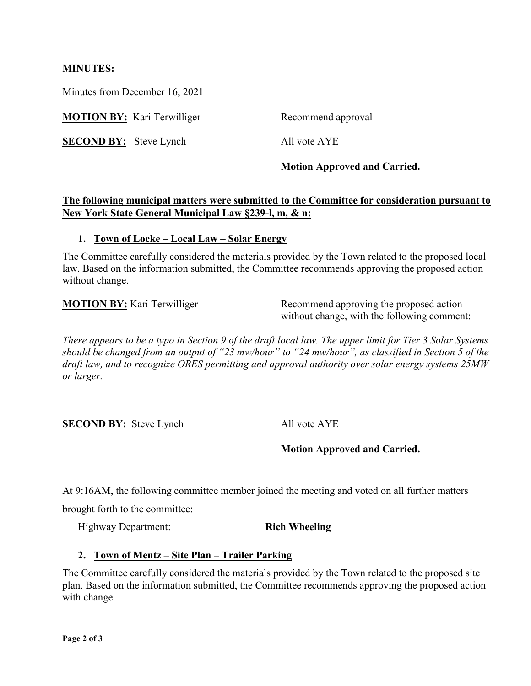#### **MINUTES:**

Minutes from December 16, 2021

**MOTION BY:** Kari Terwilliger Recommend approval

**SECOND BY:** Steve Lynch All vote AYE

**Motion Approved and Carried.**

## **The following municipal matters were submitted to the Committee for consideration pursuant to New York State General Municipal Law §239-l, m, & n:**

#### **1. Town of Locke – Local Law – Solar Energy**

The Committee carefully considered the materials provided by the Town related to the proposed local law. Based on the information submitted, the Committee recommends approving the proposed action without change.

**MOTION BY:** Kari Terwilliger Recommend approving the proposed action without change, with the following comment:

*There appears to be a typo in Section 9 of the draft local law. The upper limit for Tier 3 Solar Systems should be changed from an output of "23 mw/hour" to "24 mw/hour", as classified in Section 5 of the draft law, and to recognize ORES permitting and approval authority over solar energy systems 25MW or larger.* 

**SECOND BY:** Steve Lynch All vote AYE

**Motion Approved and Carried.**

At 9:16AM, the following committee member joined the meeting and voted on all further matters

brought forth to the committee:

Highway Department: **Rich Wheeling**

### **2. Town of Mentz – Site Plan – Trailer Parking**

The Committee carefully considered the materials provided by the Town related to the proposed site plan. Based on the information submitted, the Committee recommends approving the proposed action with change.